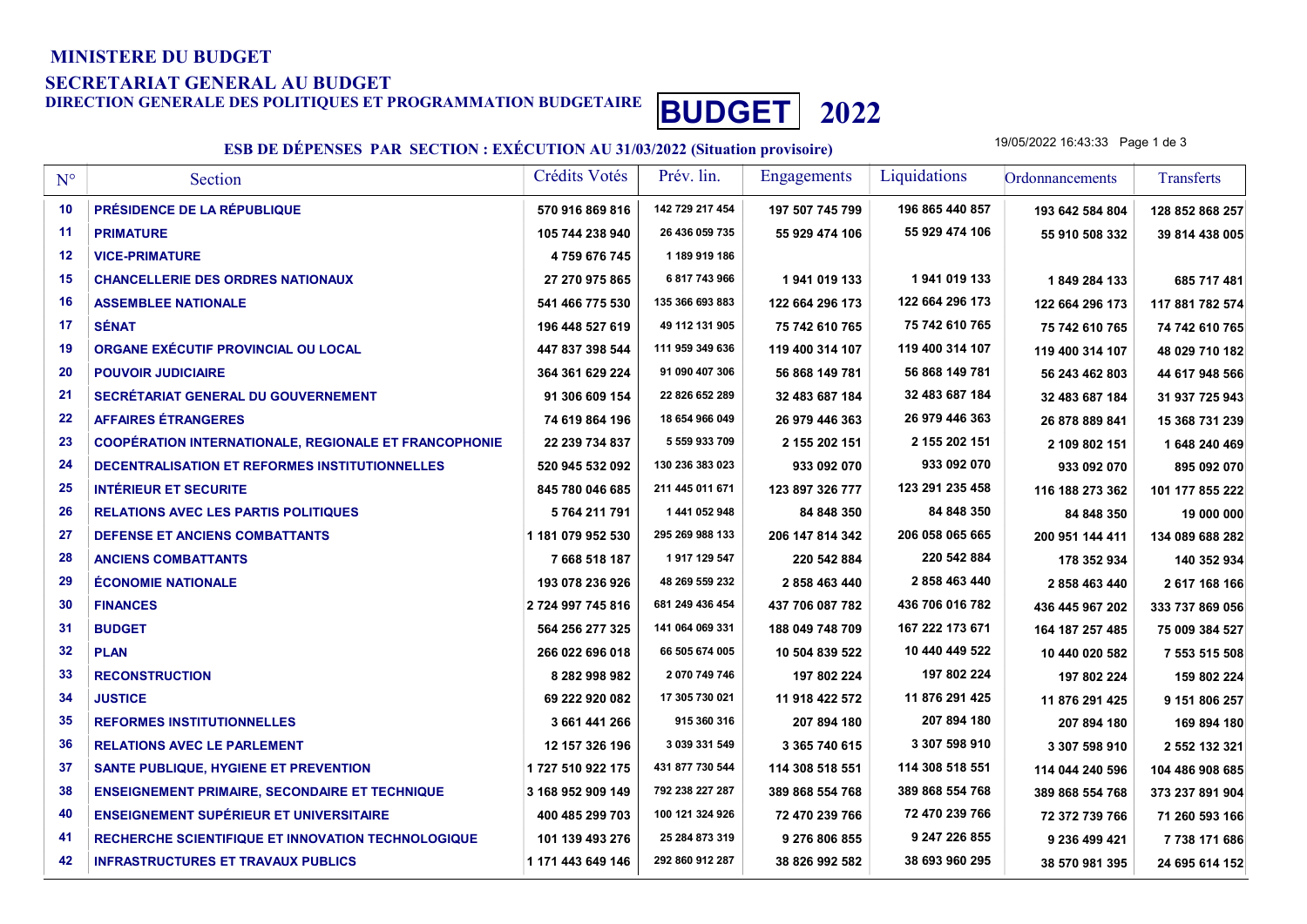#### MINISTERE DU BUDGET

#### SECRETARIAT GENERAL AU BUDGET

# DIRECTION GENERALE DES POLITIQUES ET PROGRAMMATION BUDGETAIRE **BUDGET** 2022

### ESB DE DÉPENSES PAR SECTION : EXÉCUTION AU 31/03/2022 (Situation provisoire)

19/05/2022 16:43:33 Page 1 de 3

| $N^{\circ}$     | Section                                                      | Crédits Votés     | Prév. lin.      | <b>Engagements</b> | Liquidations    | Ordonnancements | Transferts      |
|-----------------|--------------------------------------------------------------|-------------------|-----------------|--------------------|-----------------|-----------------|-----------------|
| 10              | <b>PRÉSIDENCE DE LA RÉPUBLIQUE</b>                           | 570 916 869 816   | 142 729 217 454 | 197 507 745 799    | 196 865 440 857 | 193 642 584 804 | 128 852 868 257 |
| 11              | <b>PRIMATURE</b>                                             | 105 744 238 940   | 26 436 059 735  | 55 929 474 106     | 55 929 474 106  | 55 910 508 332  | 39 814 438 005  |
| 12              | <b>VICE-PRIMATURE</b>                                        | 4759 676 745      | 1 189 919 186   |                    |                 |                 |                 |
| 15              | <b>CHANCELLERIE DES ORDRES NATIONAUX</b>                     | 27 270 975 865    | 6 817 743 966   | 1941 019 133       | 1941 019 133    | 1849 284 133    | 685 717 481     |
| 16              | <b>ASSEMBLEE NATIONALE</b>                                   | 541 466 775 530   | 135 366 693 883 | 122 664 296 173    | 122 664 296 173 | 122 664 296 173 | 117 881 782 574 |
| 17              | <b>SÉNAT</b>                                                 | 196 448 527 619   | 49 112 131 905  | 75 742 610 765     | 75 742 610 765  | 75 742 610 765  | 74 742 610 765  |
| 19              | ORGANE EXÉCUTIF PROVINCIAL OU LOCAL                          | 447 837 398 544   | 111 959 349 636 | 119 400 314 107    | 119 400 314 107 | 119 400 314 107 | 48 029 710 182  |
| 20              | <b>POUVOIR JUDICIAIRE</b>                                    | 364 361 629 224   | 91 090 407 306  | 56 868 149 781     | 56 868 149 781  | 56 243 462 803  | 44 617 948 566  |
| 21              | <b>SECRÉTARIAT GENERAL DU GOUVERNEMENT</b>                   | 91 306 609 154    | 22 826 652 289  | 32 483 687 184     | 32 483 687 184  | 32 483 687 184  | 31 937 725 943  |
| 22              | <b>AFFAIRES ÉTRANGERES</b>                                   | 74 619 864 196    | 18 654 966 049  | 26 979 446 363     | 26 979 446 363  | 26 878 889 841  | 15 368 731 239  |
| 23              | <b>COOPÉRATION INTERNATIONALE, REGIONALE ET FRANCOPHONIE</b> | 22 239 734 837    | 5 559 933 709   | 2 155 202 151      | 2 155 202 151   | 2 109 802 151   | 1 648 240 469   |
| 24              | DECENTRALISATION ET REFORMES INSTITUTIONNELLES               | 520 945 532 092   | 130 236 383 023 | 933 092 070        | 933 092 070     | 933 092 070     | 895 092 070     |
| 25              | <b>INTÉRIEUR ET SECURITE</b>                                 | 845 780 046 685   | 211 445 011 671 | 123 897 326 777    | 123 291 235 458 | 116 188 273 362 | 101 177 855 222 |
| 26              | <b>RELATIONS AVEC LES PARTIS POLITIQUES</b>                  | 5764211791        | 1 441 052 948   | 84 848 350         | 84 848 350      | 84 848 350      | 19 000 000      |
| 27              | <b>DEFENSE ET ANCIENS COMBATTANTS</b>                        | 1 181 079 952 530 | 295 269 988 133 | 206 147 814 342    | 206 058 065 665 | 200 951 144 411 | 134 089 688 282 |
| 28              | <b>ANCIENS COMBATTANTS</b>                                   | 7668518187        | 1917 129 547    | 220 542 884        | 220 542 884     | 178 352 934     | 140 352 934     |
| 29              | <b>ÉCONOMIE NATIONALE</b>                                    | 193 078 236 926   | 48 269 559 232  | 2 858 463 440      | 2 858 463 440   | 2 858 463 440   | 2 617 168 166   |
| 30              | <b>FINANCES</b>                                              | 2 724 997 745 816 | 681 249 436 454 | 437 706 087 782    | 436 706 016 782 | 436 445 967 202 | 333 737 869 056 |
| 31              | <b>BUDGET</b>                                                | 564 256 277 325   | 141 064 069 331 | 188 049 748 709    | 167 222 173 671 | 164 187 257 485 | 75 009 384 527  |
| 32 <sub>2</sub> | <b>PLAN</b>                                                  | 266 022 696 018   | 66 505 674 005  | 10 504 839 522     | 10 440 449 522  | 10 440 020 582  | 7 553 515 508   |
| 33              | <b>RECONSTRUCTION</b>                                        | 8 282 998 982     | 2 070 749 746   | 197 802 224        | 197 802 224     | 197 802 224     | 159 802 224     |
| 34              | <b>JUSTICE</b>                                               | 69 222 920 082    | 17 305 730 021  | 11 918 422 572     | 11 876 291 425  | 11 876 291 425  | 9 151 806 257   |
| 35              | <b>REFORMES INSTITUTIONNELLES</b>                            | 3 661 441 266     | 915 360 316     | 207 894 180        | 207 894 180     | 207 894 180     | 169 894 180     |
| 36              | <b>RELATIONS AVEC LE PARLEMENT</b>                           | 12 157 326 196    | 3 039 331 549   | 3 365 740 615      | 3 307 598 910   | 3 307 598 910   | 2 552 132 321   |
| 37              | <b>SANTE PUBLIQUE, HYGIENE ET PREVENTION</b>                 | 1727 510 922 175  | 431 877 730 544 | 114 308 518 551    | 114 308 518 551 | 114 044 240 596 | 104 486 908 685 |
| 38              | <b>ENSEIGNEMENT PRIMAIRE, SECONDAIRE ET TECHNIQUE</b>        | 3 168 952 909 149 | 792 238 227 287 | 389 868 554 768    | 389 868 554 768 | 389 868 554 768 | 373 237 891 904 |
| 40              | <b>ENSEIGNEMENT SUPÉRIEUR ET UNIVERSITAIRE</b>               | 400 485 299 703   | 100 121 324 926 | 72 470 239 766     | 72 470 239 766  | 72 372 739 766  | 71 260 593 166  |
| 41              | <b>RECHERCHE SCIENTIFIQUE ET INNOVATION TECHNOLOGIQUE</b>    | 101 139 493 276   | 25 284 873 319  | 9 276 806 855      | 9 247 226 855   | 9 236 499 421   | 7 738 171 686   |
| 42              | <b>INFRASTRUCTURES ET TRAVAUX PUBLICS</b>                    | 1 171 443 649 146 | 292 860 912 287 | 38 826 992 582     | 38 693 960 295  | 38 570 981 395  | 24 695 614 152  |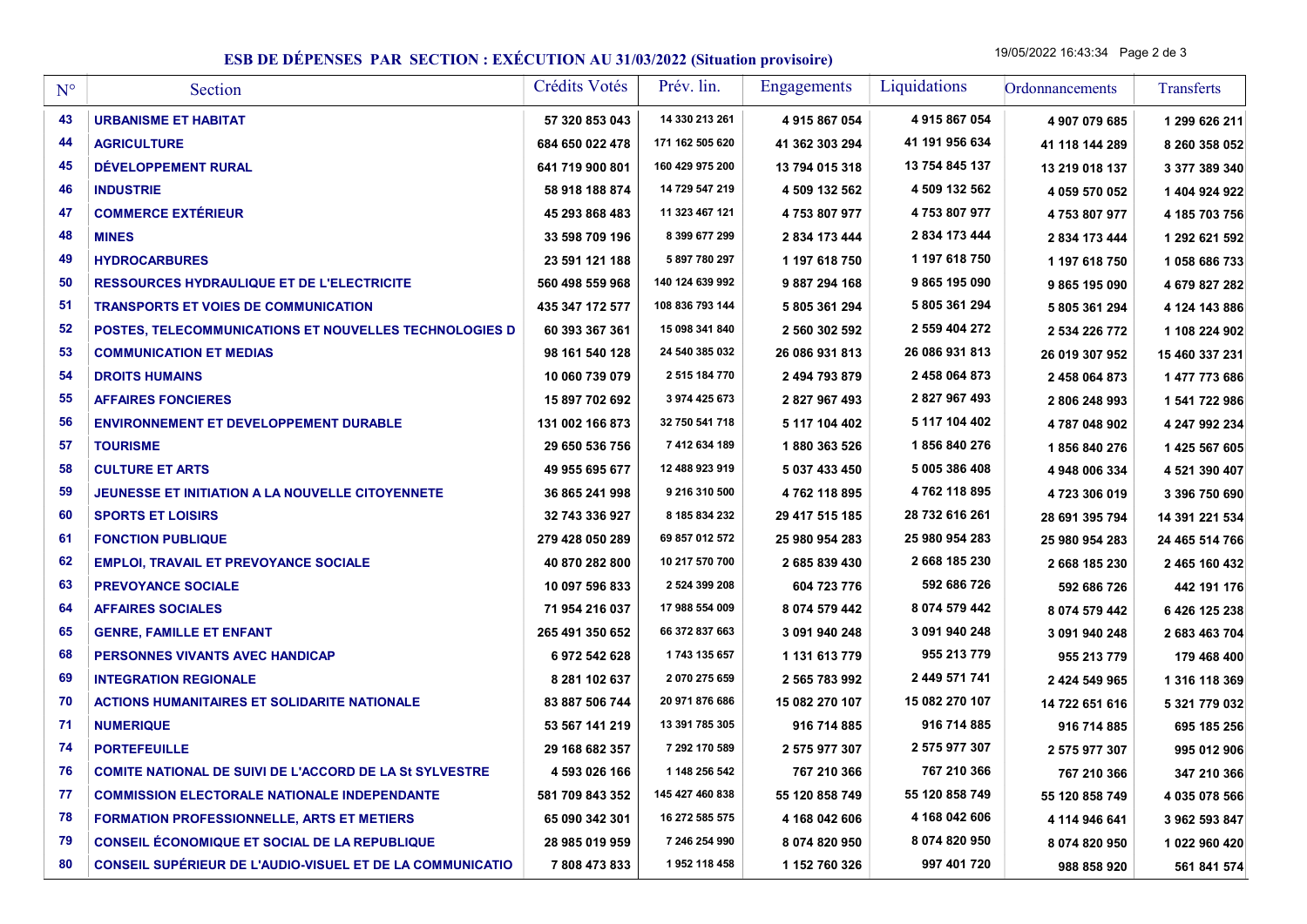## ESB DE DÉPENSES PAR SECTION : EXÉCUTION AU 31/03/2022 (Situation provisoire)

19/05/2022 16:43:34 Page 2 de 3

| $N^{\circ}$ | Section                                                          | Crédits Votés   | Prév. lin.      | Engagements    | Liquidations   | Ordonnancements | <b>Transferts</b> |
|-------------|------------------------------------------------------------------|-----------------|-----------------|----------------|----------------|-----------------|-------------------|
| 43          | <b>URBANISME ET HABITAT</b>                                      | 57 320 853 043  | 14 330 213 261  | 4915867054     | 4915867054     | 4 907 079 685   | 1 299 626 211     |
| 44          | <b>AGRICULTURE</b>                                               | 684 650 022 478 | 171 162 505 620 | 41 362 303 294 | 41 191 956 634 | 41 118 144 289  | 8 260 358 052     |
| 45          | DÉVELOPPEMENT RURAL                                              | 641 719 900 801 | 160 429 975 200 | 13 794 015 318 | 13 754 845 137 | 13 219 018 137  | 3 377 389 340     |
| 46          | <b>INDUSTRIE</b>                                                 | 58 918 188 874  | 14 729 547 219  | 4 509 132 562  | 4 509 132 562  | 4 059 570 052   | 1 404 924 922     |
| 47          | <b>COMMERCE EXTÉRIEUR</b>                                        | 45 293 868 483  | 11 323 467 121  | 4753807977     | 4753807977     | 4753807977      | 4 185 703 756     |
| 48          | <b>MINES</b>                                                     | 33 598 709 196  | 8 399 677 299   | 2 834 173 444  | 2 834 173 444  | 2 834 173 444   | 1 292 621 592     |
| 49          | <b>HYDROCARBURES</b>                                             | 23 591 121 188  | 5 897 780 297   | 1 197 618 750  | 1 197 618 750  | 1 197 618 750   | 1058 686 733      |
| 50          | <b>RESSOURCES HYDRAULIQUE ET DE L'ELECTRICITE</b>                | 560 498 559 968 | 140 124 639 992 | 9 887 294 168  | 9865195090     | 9 865 195 090   | 4 679 827 282     |
| 51          | <b>TRANSPORTS ET VOIES DE COMMUNICATION</b>                      | 435 347 172 577 | 108 836 793 144 | 5 805 361 294  | 5 805 361 294  | 5 805 361 294   | 4 124 143 886     |
| 52          | POSTES, TELECOMMUNICATIONS ET NOUVELLES TECHNOLOGIES D           | 60 393 367 361  | 15 098 341 840  | 2 560 302 592  | 2 559 404 272  | 2 534 226 772   | 1 108 224 902     |
| 53          | <b>COMMUNICATION ET MEDIAS</b>                                   | 98 161 540 128  | 24 540 385 032  | 26 086 931 813 | 26 086 931 813 | 26 019 307 952  | 15 460 337 231    |
| 54          | <b>DROITS HUMAINS</b>                                            | 10 060 739 079  | 2 515 184 770   | 2 494 793 879  | 2 458 064 873  | 2458064873      | 1 477 773 686     |
| 55          | <b>AFFAIRES FONCIERES</b>                                        | 15 897 702 692  | 3 974 425 673   | 2 827 967 493  | 2827967493     | 2 806 248 993   | 1 541 722 986     |
| 56          | <b>ENVIRONNEMENT ET DEVELOPPEMENT DURABLE</b>                    | 131 002 166 873 | 32 750 541 718  | 5 117 104 402  | 5 117 104 402  | 4787048902      | 4 247 992 234     |
| 57          | <b>TOURISME</b>                                                  | 29 650 536 756  | 7 412 634 189   | 1880 363 526   | 1856840276     | 1856840276      | 1425 567 605      |
| 58          | <b>CULTURE ET ARTS</b>                                           | 49 955 695 677  | 12 488 923 919  | 5 037 433 450  | 5 005 386 408  | 4 948 006 334   | 4 521 390 407     |
| 59          | <b>JEUNESSE ET INITIATION A LA NOUVELLE CITOYENNETE</b>          | 36 865 241 998  | 9 216 310 500   | 4762118895     | 4762118895     | 4723306019      | 3 396 750 690     |
| 60          | <b>SPORTS ET LOISIRS</b>                                         | 32 743 336 927  | 8 185 834 232   | 29 417 515 185 | 28 732 616 261 | 28 691 395 794  | 14 391 221 534    |
| 61          | <b>FONCTION PUBLIQUE</b>                                         | 279 428 050 289 | 69 857 012 572  | 25 980 954 283 | 25 980 954 283 | 25 980 954 283  | 24 465 514 766    |
| 62          | <b>EMPLOI, TRAVAIL ET PREVOYANCE SOCIALE</b>                     | 40 870 282 800  | 10 217 570 700  | 2 685 839 430  | 2668 185 230   | 2 668 185 230   | 2 465 160 432     |
| 63          | <b>PREVOYANCE SOCIALE</b>                                        | 10 097 596 833  | 2 524 399 208   | 604 723 776    | 592 686 726    | 592 686 726     | 442 191 176       |
| 64          | <b>AFFAIRES SOCIALES</b>                                         | 71 954 216 037  | 17 988 554 009  | 8 074 579 442  | 8 074 579 442  | 8 074 579 442   | 6426125238        |
| 65          | <b>GENRE, FAMILLE ET ENFANT</b>                                  | 265 491 350 652 | 66 372 837 663  | 3 091 940 248  | 3 091 940 248  | 3 091 940 248   | 2 683 463 704     |
| 68          | PERSONNES VIVANTS AVEC HANDICAP                                  | 6972542628      | 1743 135 657    | 1 131 613 779  | 955 213 779    | 955 213 779     | 179 468 400       |
| 69          | <b>INTEGRATION REGIONALE</b>                                     | 8 281 102 637   | 2 070 275 659   | 2 565 783 992  | 2 449 571 741  | 2 424 549 965   | 1 316 118 369     |
| 70          | <b>ACTIONS HUMANITAIRES ET SOLIDARITE NATIONALE</b>              | 83 887 506 744  | 20 971 876 686  | 15 082 270 107 | 15 082 270 107 | 14 722 651 616  | 5 321 779 032     |
| 71          | <b>NUMERIQUE</b>                                                 | 53 567 141 219  | 13 391 785 305  | 916 714 885    | 916 714 885    | 916 714 885     | 695 185 256       |
| 74          | <b>PORTEFEUILLE</b>                                              | 29 168 682 357  | 7 292 170 589   | 2 575 977 307  | 2 575 977 307  | 2 575 977 307   | 995 012 906       |
| 76          | <b>COMITE NATIONAL DE SUIVI DE L'ACCORD DE LA St SYLVESTRE</b>   | 4 593 026 166   | 1 148 256 542   | 767 210 366    | 767 210 366    | 767 210 366     | 347 210 366       |
| 77          | <b>COMMISSION ELECTORALE NATIONALE INDEPENDANTE</b>              | 581 709 843 352 | 145 427 460 838 | 55 120 858 749 | 55 120 858 749 | 55 120 858 749  | 4 035 078 566     |
| 78          | <b>FORMATION PROFESSIONNELLE, ARTS ET METIERS</b>                | 65 090 342 301  | 16 272 585 575  | 4 168 042 606  | 4 168 042 606  | 4 114 946 641   | 3 962 593 847     |
| 79          | <b>CONSEIL ÉCONOMIQUE ET SOCIAL DE LA REPUBLIQUE</b>             | 28 985 019 959  | 7 246 254 990   | 8 074 820 950  | 8 074 820 950  | 8 074 820 950   | 1 022 960 420     |
| 80          | <b>CONSEIL SUPÉRIEUR DE L'AUDIO-VISUEL ET DE LA COMMUNICATIO</b> | 7808473833      | 1952 118 458    | 1 152 760 326  | 997 401 720    | 988 858 920     | 561 841 574       |